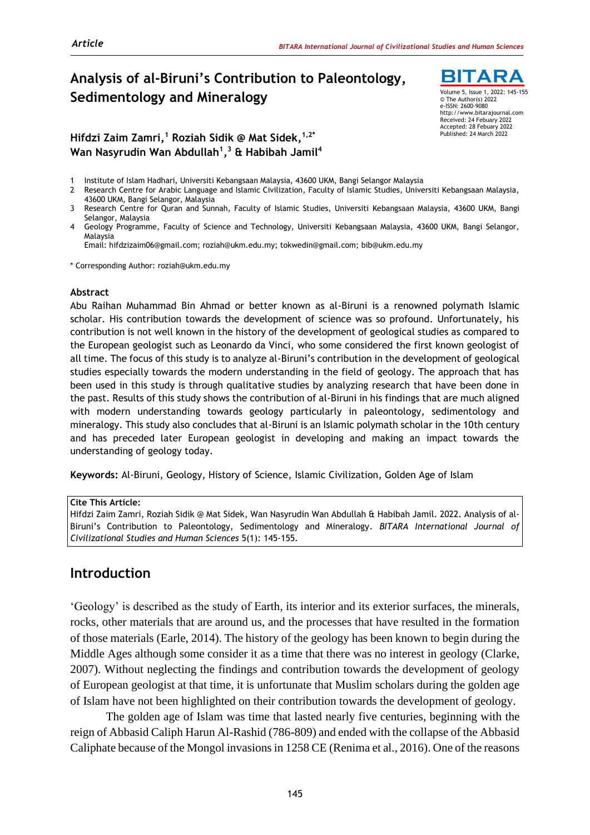## **Analysis of al-Biruni's Contribution to Paleontology, Sedimentology and Mineralogy**

**Hifdzi Zaim Zamri, <sup>1</sup> Roziah Sidik @ Mat Sidek, 1,2\* Wan Nasyrudin Wan Abdullah<sup>1</sup> , <sup>3</sup> & Habibah Jamil<sup>4</sup>**

**BITARA** Volume 5, Issue 1, 2022: 145-155 © The Author(s) 2022 e-ISSN: 2600-9080 http://www.bitarajournal.com Received: 24 Febuary 2022 Accepted: 28 Febuary 2022 Published: 24 March 2022

- 1 Institute of Islam Hadhari, Universiti Kebangsaan Malaysia, 43600 UKM, Bangi Selangor Malaysia
- 2 Research Centre for Arabic Language and Islamic Civilization, Faculty of Islamic Studies, Universiti Kebangsaan Malaysia, 43600 UKM, Bangi Selangor, Malaysia

Volume 5, Issue 1, 2022

- 3 Research Centre for Quran and Sunnah, Faculty of Islamic Studies, Universiti Kebangsaan Malaysia, 43600 UKM, Bangi Selangor, Malaysia
- 4 Geology Programme, Faculty of Science and Technology, Universiti Kebangsaan Malaysia, 43600 UKM, Bangi Selangor, Malaysia

Email: hifdzizaim06@gmail.com; roziah@ukm.edu.my; tokwedin@gmail.com; bib@ukm.edu.my

\* Corresponding Author: roziah@ukm.edu.my

#### **Abstract**

Abu Raihan Muhammad Bin Ahmad or better known as al-Biruni is a renowned polymath Islamic scholar. His contribution towards the development of science was so profound. Unfortunately, his contribution is not well known in the history of the development of geological studies as compared to the European geologist such as Leonardo da Vinci, who some considered the first known geologist of all time. The focus of this study is to analyze al-Biruni's contribution in the development of geological studies especially towards the modern understanding in the field of geology. The approach that has been used in this study is through qualitative studies by analyzing research that have been done in the past. Results of this study shows the contribution of al-Biruni in his findings that are much aligned with modern understanding towards geology particularly in paleontology, sedimentology and mineralogy. This study also concludes that al-Biruni is an Islamic polymath scholar in the 10th century and has preceded later European geologist in developing and making an impact towards the understanding of geology today.

**Keywords:** Al-Biruni, Geology, History of Science, Islamic Civilization, Golden Age of Islam

**Cite This Article:** 

Hifdzi Zaim Zamri, Roziah Sidik @ Mat Sidek, Wan Nasyrudin Wan Abdullah & Habibah Jamil. 2022. Analysis of al-Biruni's Contribution to Paleontology, Sedimentology and Mineralogy. *BITARA International Journal of Civilizational Studies and Human Sciences* 5(1): 145-155.

#### **Introduction**

'Geology' is described as the study of Earth, its interior and its exterior surfaces, the minerals, rocks, other materials that are around us, and the processes that have resulted in the formation of those materials (Earle, 2014). The history of the geology has been known to begin during the Middle Ages although some consider it as a time that there was no interest in geology (Clarke, 2007). Without neglecting the findings and contribution towards the development of geology of European geologist at that time, it is unfortunate that Muslim scholars during the golden age of Islam have not been highlighted on their contribution towards the development of geology.

The golden age of Islam was time that lasted nearly five centuries, beginning with the reign of Abbasid Caliph Harun Al-Rashid (786-809) and ended with the collapse of the Abbasid Caliphate because of the Mongol invasions in 1258 CE (Renima et al., 2016). One of the reasons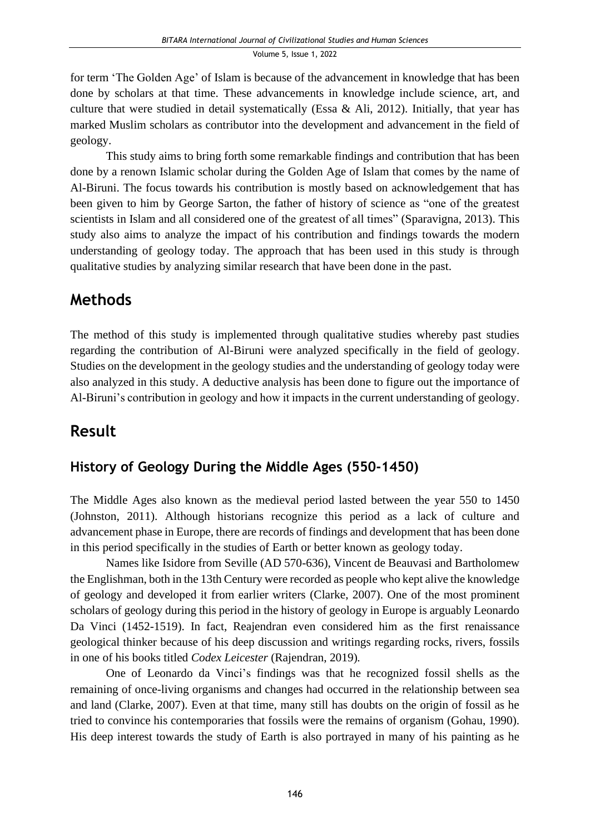for term 'The Golden Age' of Islam is because of the advancement in knowledge that has been done by scholars at that time. These advancements in knowledge include science, art, and culture that were studied in detail systematically (Essa & Ali, 2012). Initially, that year has marked Muslim scholars as contributor into the development and advancement in the field of geology.

This study aims to bring forth some remarkable findings and contribution that has been done by a renown Islamic scholar during the Golden Age of Islam that comes by the name of Al-Biruni. The focus towards his contribution is mostly based on acknowledgement that has been given to him by George Sarton, the father of history of science as "one of the greatest scientists in Islam and all considered one of the greatest of all times" (Sparavigna, 2013). This study also aims to analyze the impact of his contribution and findings towards the modern understanding of geology today. The approach that has been used in this study is through qualitative studies by analyzing similar research that have been done in the past.

# **Methods**

The method of this study is implemented through qualitative studies whereby past studies regarding the contribution of Al-Biruni were analyzed specifically in the field of geology. Studies on the development in the geology studies and the understanding of geology today were also analyzed in this study. A deductive analysis has been done to figure out the importance of Al-Biruni's contribution in geology and how it impacts in the current understanding of geology.

# **Result**

## **History of Geology During the Middle Ages (550-1450)**

The Middle Ages also known as the medieval period lasted between the year 550 to 1450 (Johnston, 2011). Although historians recognize this period as a lack of culture and advancement phase in Europe, there are records of findings and development that has been done in this period specifically in the studies of Earth or better known as geology today.

Names like Isidore from Seville (AD 570-636), Vincent de Beauvasi and Bartholomew the Englishman, both in the 13th Century were recorded as people who kept alive the knowledge of geology and developed it from earlier writers (Clarke, 2007). One of the most prominent scholars of geology during this period in the history of geology in Europe is arguably Leonardo Da Vinci (1452-1519). In fact, Reajendran even considered him as the first renaissance geological thinker because of his deep discussion and writings regarding rocks, rivers, fossils in one of his books titled *Codex Leicester* (Rajendran, 2019)*.*

One of Leonardo da Vinci's findings was that he recognized fossil shells as the remaining of once-living organisms and changes had occurred in the relationship between sea and land (Clarke, 2007). Even at that time, many still has doubts on the origin of fossil as he tried to convince his contemporaries that fossils were the remains of organism (Gohau, 1990). His deep interest towards the study of Earth is also portrayed in many of his painting as he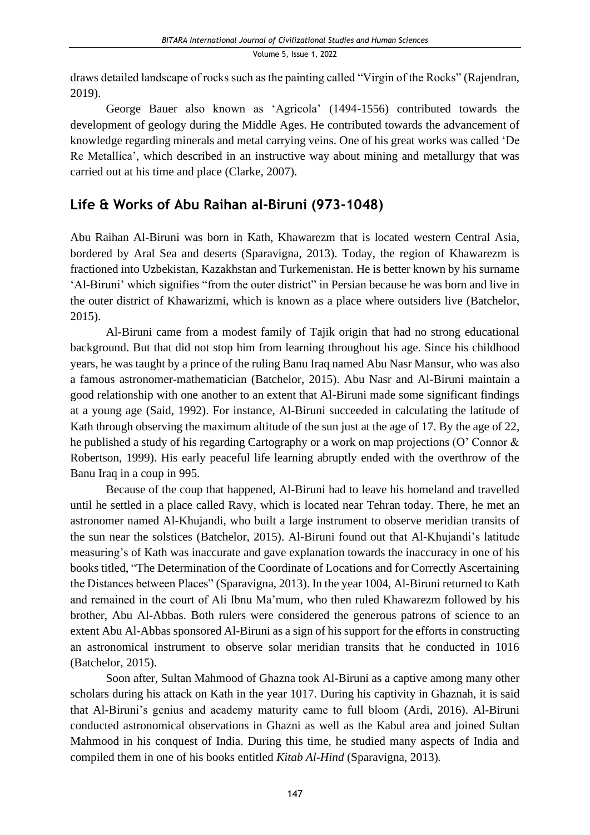draws detailed landscape of rocks such as the painting called "Virgin of the Rocks" (Rajendran, 2019).

George Bauer also known as 'Agricola' (1494-1556) contributed towards the development of geology during the Middle Ages. He contributed towards the advancement of knowledge regarding minerals and metal carrying veins. One of his great works was called 'De Re Metallica', which described in an instructive way about mining and metallurgy that was carried out at his time and place (Clarke, 2007).

## **Life & Works of Abu Raihan al-Biruni (973-1048)**

Abu Raihan Al-Biruni was born in Kath, Khawarezm that is located western Central Asia, bordered by Aral Sea and deserts (Sparavigna, 2013). Today, the region of Khawarezm is fractioned into Uzbekistan, Kazakhstan and Turkemenistan. He is better known by his surname 'Al-Biruni' which signifies "from the outer district" in Persian because he was born and live in the outer district of Khawarizmi, which is known as a place where outsiders live (Batchelor, 2015).

Al-Biruni came from a modest family of Tajik origin that had no strong educational background. But that did not stop him from learning throughout his age. Since his childhood years, he was taught by a prince of the ruling Banu Iraq named Abu Nasr Mansur, who was also a famous astronomer-mathematician (Batchelor, 2015). Abu Nasr and Al-Biruni maintain a good relationship with one another to an extent that Al-Biruni made some significant findings at a young age (Said, 1992). For instance, Al-Biruni succeeded in calculating the latitude of Kath through observing the maximum altitude of the sun just at the age of 17. By the age of 22, he published a study of his regarding Cartography or a work on map projections (O' Connor & Robertson, 1999). His early peaceful life learning abruptly ended with the overthrow of the Banu Iraq in a coup in 995.

Because of the coup that happened, Al-Biruni had to leave his homeland and travelled until he settled in a place called Ravy, which is located near Tehran today. There, he met an astronomer named Al-Khujandi, who built a large instrument to observe meridian transits of the sun near the solstices (Batchelor, 2015). Al-Biruni found out that Al-Khujandi's latitude measuring's of Kath was inaccurate and gave explanation towards the inaccuracy in one of his books titled, "The Determination of the Coordinate of Locations and for Correctly Ascertaining the Distances between Places" (Sparavigna, 2013). In the year 1004, Al-Biruni returned to Kath and remained in the court of Ali Ibnu Ma'mum, who then ruled Khawarezm followed by his brother, Abu Al-Abbas. Both rulers were considered the generous patrons of science to an extent Abu Al-Abbas sponsored Al-Biruni as a sign of his support for the efforts in constructing an astronomical instrument to observe solar meridian transits that he conducted in 1016 (Batchelor, 2015).

Soon after, Sultan Mahmood of Ghazna took Al-Biruni as a captive among many other scholars during his attack on Kath in the year 1017. During his captivity in Ghaznah, it is said that Al-Biruni's genius and academy maturity came to full bloom (Ardi, 2016). Al-Biruni conducted astronomical observations in Ghazni as well as the Kabul area and joined Sultan Mahmood in his conquest of India. During this time, he studied many aspects of India and compiled them in one of his books entitled *Kitab Al-Hind* (Sparavigna, 2013)*.*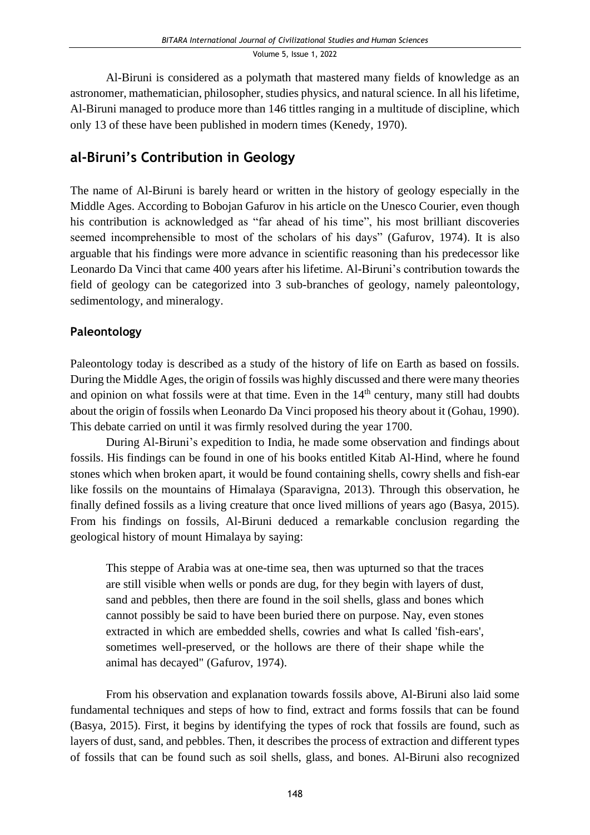Al-Biruni is considered as a polymath that mastered many fields of knowledge as an astronomer, mathematician, philosopher, studies physics, and natural science. In all his lifetime, Al-Biruni managed to produce more than 146 tittles ranging in a multitude of discipline, which only 13 of these have been published in modern times (Kenedy, 1970).

### **al-Biruni's Contribution in Geology**

The name of Al-Biruni is barely heard or written in the history of geology especially in the Middle Ages. According to Bobojan Gafurov in his article on the Unesco Courier, even though his contribution is acknowledged as "far ahead of his time", his most brilliant discoveries seemed incomprehensible to most of the scholars of his days" (Gafurov, 1974). It is also arguable that his findings were more advance in scientific reasoning than his predecessor like Leonardo Da Vinci that came 400 years after his lifetime. Al-Biruni's contribution towards the field of geology can be categorized into 3 sub-branches of geology, namely paleontology, sedimentology, and mineralogy.

#### **Paleontology**

Paleontology today is described as a study of the history of life on Earth as based on fossils. During the Middle Ages, the origin of fossils was highly discussed and there were many theories and opinion on what fossils were at that time. Even in the  $14<sup>th</sup>$  century, many still had doubts about the origin of fossils when Leonardo Da Vinci proposed his theory about it (Gohau, 1990). This debate carried on until it was firmly resolved during the year 1700.

During Al-Biruni's expedition to India, he made some observation and findings about fossils. His findings can be found in one of his books entitled Kitab Al-Hind, where he found stones which when broken apart, it would be found containing shells, cowry shells and fish-ear like fossils on the mountains of Himalaya (Sparavigna, 2013). Through this observation, he finally defined fossils as a living creature that once lived millions of years ago (Basya, 2015). From his findings on fossils, Al-Biruni deduced a remarkable conclusion regarding the geological history of mount Himalaya by saying:

This steppe of Arabia was at one-time sea, then was upturned so that the traces are still visible when wells or ponds are dug, for they begin with layers of dust, sand and pebbles, then there are found in the soil shells, glass and bones which cannot possibly be said to have been buried there on purpose. Nay, even stones extracted in which are embedded shells, cowries and what Is called 'fish-ears', sometimes well-preserved, or the hollows are there of their shape while the animal has decayed" (Gafurov, 1974).

From his observation and explanation towards fossils above, Al-Biruni also laid some fundamental techniques and steps of how to find, extract and forms fossils that can be found (Basya, 2015). First, it begins by identifying the types of rock that fossils are found, such as layers of dust, sand, and pebbles. Then, it describes the process of extraction and different types of fossils that can be found such as soil shells, glass, and bones. Al-Biruni also recognized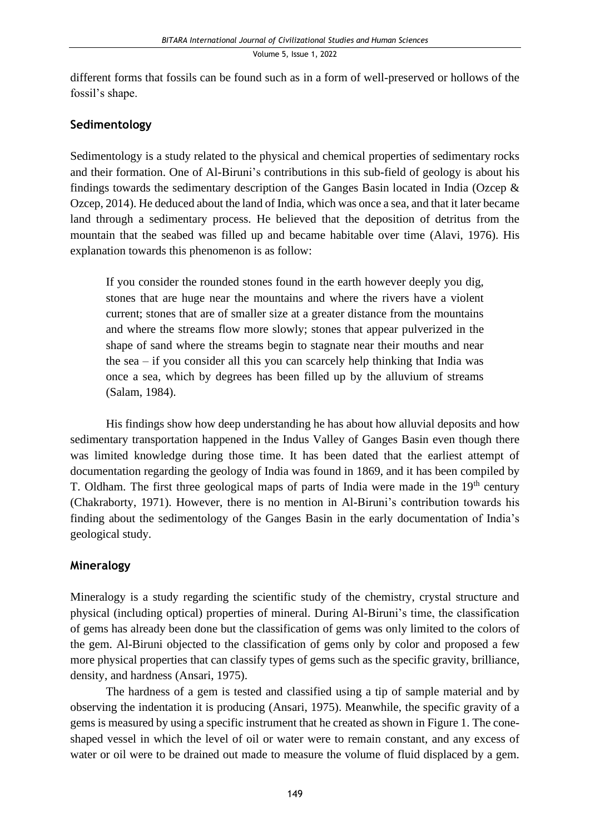different forms that fossils can be found such as in a form of well-preserved or hollows of the fossil's shape.

#### **Sedimentology**

Sedimentology is a study related to the physical and chemical properties of sedimentary rocks and their formation. One of Al-Biruni's contributions in this sub-field of geology is about his findings towards the sedimentary description of the Ganges Basin located in India (Ozcep & Ozcep, 2014). He deduced about the land of India, which was once a sea, and that it later became land through a sedimentary process. He believed that the deposition of detritus from the mountain that the seabed was filled up and became habitable over time (Alavi, 1976). His explanation towards this phenomenon is as follow:

If you consider the rounded stones found in the earth however deeply you dig, stones that are huge near the mountains and where the rivers have a violent current; stones that are of smaller size at a greater distance from the mountains and where the streams flow more slowly; stones that appear pulverized in the shape of sand where the streams begin to stagnate near their mouths and near the sea – if you consider all this you can scarcely help thinking that India was once a sea, which by degrees has been filled up by the alluvium of streams (Salam, 1984).

His findings show how deep understanding he has about how alluvial deposits and how sedimentary transportation happened in the Indus Valley of Ganges Basin even though there was limited knowledge during those time. It has been dated that the earliest attempt of documentation regarding the geology of India was found in 1869, and it has been compiled by T. Oldham. The first three geological maps of parts of India were made in the  $19<sup>th</sup>$  century (Chakraborty, 1971). However, there is no mention in Al-Biruni's contribution towards his finding about the sedimentology of the Ganges Basin in the early documentation of India's geological study.

#### **Mineralogy**

Mineralogy is a study regarding the scientific study of the chemistry, crystal structure and physical (including optical) properties of mineral. During Al-Biruni's time, the classification of gems has already been done but the classification of gems was only limited to the colors of the gem. Al-Biruni objected to the classification of gems only by color and proposed a few more physical properties that can classify types of gems such as the specific gravity, brilliance, density, and hardness (Ansari, 1975).

The hardness of a gem is tested and classified using a tip of sample material and by observing the indentation it is producing (Ansari, 1975). Meanwhile, the specific gravity of a gems is measured by using a specific instrument that he created as shown in Figure 1. The coneshaped vessel in which the level of oil or water were to remain constant, and any excess of water or oil were to be drained out made to measure the volume of fluid displaced by a gem.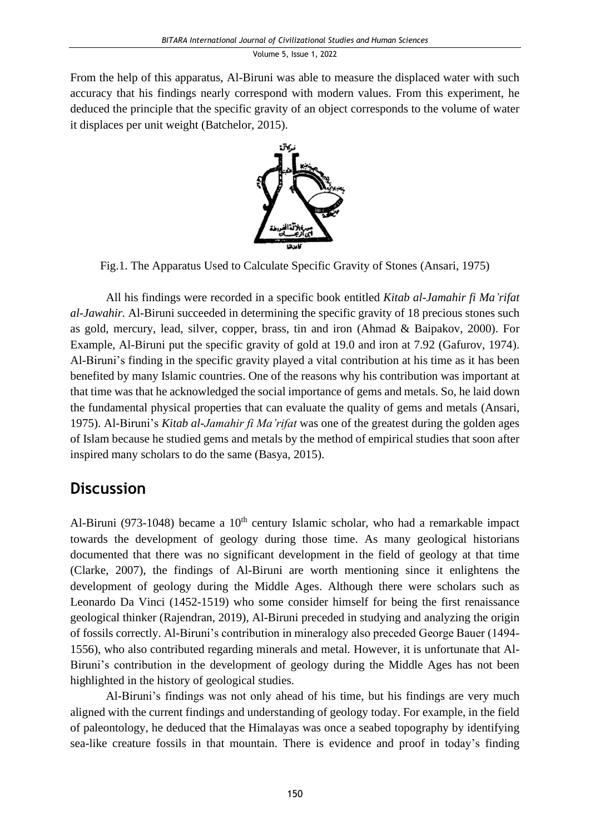From the help of this apparatus, Al-Biruni was able to measure the displaced water with such accuracy that his findings nearly correspond with modern values. From this experiment, he deduced the principle that the specific gravity of an object corresponds to the volume of water it displaces per unit weight (Batchelor, 2015).



Fig.1. The Apparatus Used to Calculate Specific Gravity of Stones (Ansari, 1975)

All his findings were recorded in a specific book entitled *Kitab al-Jamahir fi Ma'rifat al-Jawahir.* Al-Biruni succeeded in determining the specific gravity of 18 precious stones such as gold, mercury, lead, silver, copper, brass, tin and iron (Ahmad & Baipakov, 2000). For Example, Al-Biruni put the specific gravity of gold at 19.0 and iron at 7.92 (Gafurov, 1974). Al-Biruni's finding in the specific gravity played a vital contribution at his time as it has been benefited by many Islamic countries. One of the reasons why his contribution was important at that time was that he acknowledged the social importance of gems and metals. So, he laid down the fundamental physical properties that can evaluate the quality of gems and metals (Ansari, 1975). Al-Biruni's *Kitab al-Jamahir fi Ma'rifat* was one of the greatest during the golden ages of Islam because he studied gems and metals by the method of empirical studies that soon after inspired many scholars to do the same (Basya, 2015).

# **Discussion**

Al-Biruni (973-1048) became a  $10<sup>th</sup>$  century Islamic scholar, who had a remarkable impact towards the development of geology during those time. As many geological historians documented that there was no significant development in the field of geology at that time (Clarke, 2007), the findings of Al-Biruni are worth mentioning since it enlightens the development of geology during the Middle Ages. Although there were scholars such as Leonardo Da Vinci (1452-1519) who some consider himself for being the first renaissance geological thinker (Rajendran, 2019), Al-Biruni preceded in studying and analyzing the origin of fossils correctly. Al-Biruni's contribution in mineralogy also preceded George Bauer (1494- 1556), who also contributed regarding minerals and metal. However, it is unfortunate that Al-Biruni's contribution in the development of geology during the Middle Ages has not been highlighted in the history of geological studies.

Al-Biruni's findings was not only ahead of his time, but his findings are very much aligned with the current findings and understanding of geology today. For example, in the field of paleontology, he deduced that the Himalayas was once a seabed topography by identifying sea-like creature fossils in that mountain. There is evidence and proof in today's finding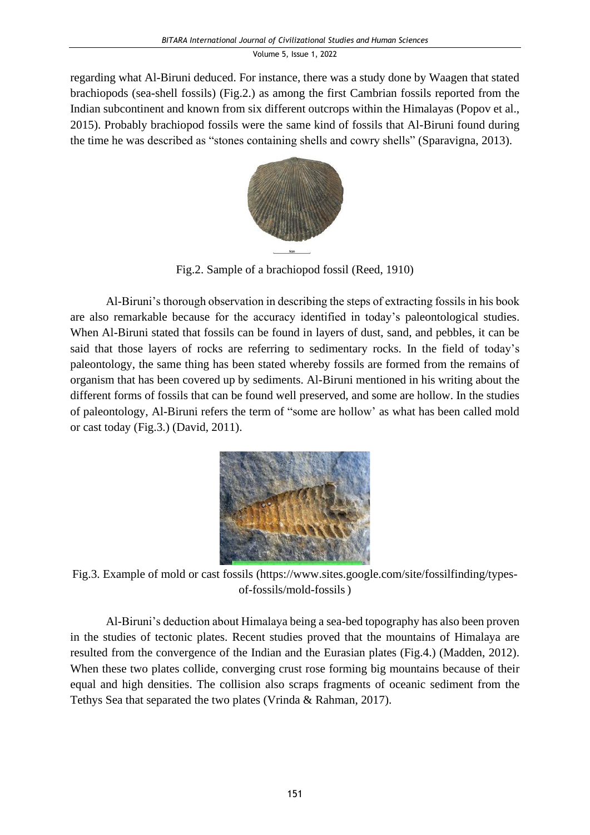regarding what Al-Biruni deduced. For instance, there was a study done by Waagen that stated brachiopods (sea-shell fossils) (Fig.2.) as among the first Cambrian fossils reported from the Indian subcontinent and known from six different outcrops within the Himalayas (Popov et al., 2015). Probably brachiopod fossils were the same kind of fossils that Al-Biruni found during the time he was described as "stones containing shells and cowry shells" (Sparavigna, 2013).



Fig.2. Sample of a brachiopod fossil (Reed, 1910)

Al-Biruni's thorough observation in describing the steps of extracting fossils in his book are also remarkable because for the accuracy identified in today's paleontological studies. When Al-Biruni stated that fossils can be found in layers of dust, sand, and pebbles, it can be said that those layers of rocks are referring to sedimentary rocks. In the field of today's paleontology, the same thing has been stated whereby fossils are formed from the remains of organism that has been covered up by sediments. Al-Biruni mentioned in his writing about the different forms of fossils that can be found well preserved, and some are hollow. In the studies of paleontology, Al-Biruni refers the term of "some are hollow' as what has been called mold or cast today (Fig.3.) (David, 2011).



Fig.3. Example of mold or cast fossils (https://www.sites.google.com/site/fossilfinding/typesof-fossils/mold-fossils)

Al-Biruni's deduction about Himalaya being a sea-bed topography has also been proven in the studies of tectonic plates. Recent studies proved that the mountains of Himalaya are resulted from the convergence of the Indian and the Eurasian plates (Fig.4.) (Madden, 2012). When these two plates collide, converging crust rose forming big mountains because of their equal and high densities. The collision also scraps fragments of oceanic sediment from the Tethys Sea that separated the two plates (Vrinda & Rahman, 2017).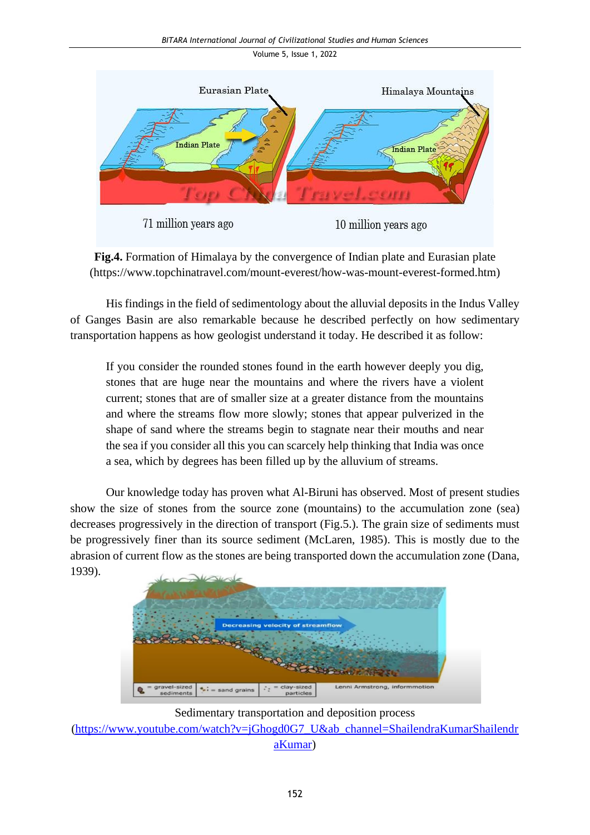

**Fig.4.** Formation of Himalaya by the convergence of Indian plate and Eurasian plate (https://www.topchinatravel.com/mount-everest/how-was-mount-everest-formed.htm)

His findings in the field of sedimentology about the alluvial deposits in the Indus Valley of Ganges Basin are also remarkable because he described perfectly on how sedimentary transportation happens as how geologist understand it today. He described it as follow:

If you consider the rounded stones found in the earth however deeply you dig, stones that are huge near the mountains and where the rivers have a violent current; stones that are of smaller size at a greater distance from the mountains and where the streams flow more slowly; stones that appear pulverized in the shape of sand where the streams begin to stagnate near their mouths and near the sea if you consider all this you can scarcely help thinking that India was once a sea, which by degrees has been filled up by the alluvium of streams.

Our knowledge today has proven what Al-Biruni has observed. Most of present studies show the size of stones from the source zone (mountains) to the accumulation zone (sea) decreases progressively in the direction of transport (Fig.5.). The grain size of sediments must be progressively finer than its source sediment (McLaren, 1985). This is mostly due to the abrasion of current flow as the stones are being transported down the accumulation zone (Dana, 1939).



Sedimentary transportation and deposition process

[\(https://www.youtube.com/watch?v=jGhogd0G7\\_U&ab\\_channel=ShailendraKumarShailendr](https://www.youtube.com/watch?v=jGhogd0G7_U&ab_channel=ShailendraKumarShailendraKumar) [aKumar\)](https://www.youtube.com/watch?v=jGhogd0G7_U&ab_channel=ShailendraKumarShailendraKumar)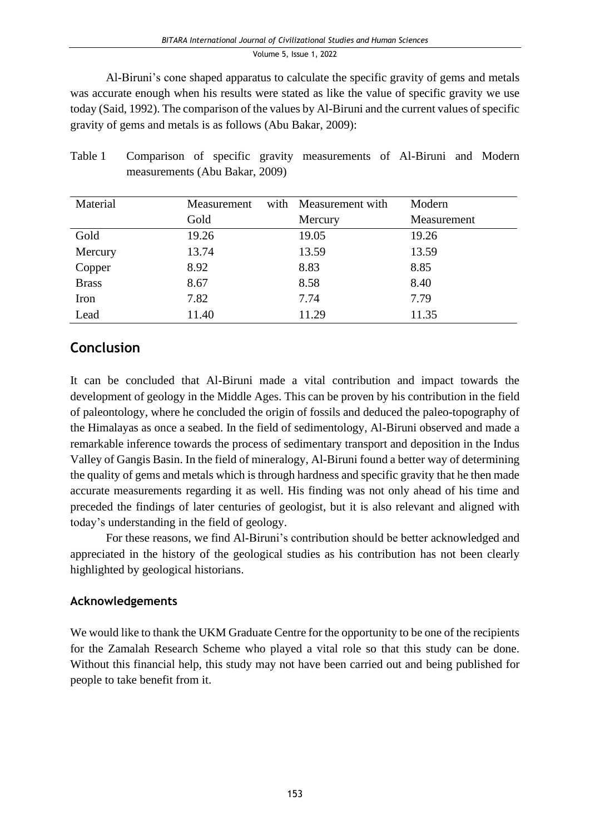Al-Biruni's cone shaped apparatus to calculate the specific gravity of gems and metals was accurate enough when his results were stated as like the value of specific gravity we use today (Said, 1992). The comparison of the values by Al-Biruni and the current values of specific gravity of gems and metals is as follows (Abu Bakar, 2009):

| Material     | Measurement | with Measurement with | Modern      |
|--------------|-------------|-----------------------|-------------|
|              | Gold        | Mercury               | Measurement |
| Gold         | 19.26       | 19.05                 | 19.26       |
| Mercury      | 13.74       | 13.59                 | 13.59       |
| Copper       | 8.92        | 8.83                  | 8.85        |
| <b>Brass</b> | 8.67        | 8.58                  | 8.40        |
| Iron         | 7.82        | 7.74                  | 7.79        |
| Lead         | 11.40       | 11.29                 | 11.35       |

Table 1 Comparison of specific gravity measurements of Al-Biruni and Modern measurements (Abu Bakar, 2009)

### **Conclusion**

It can be concluded that Al-Biruni made a vital contribution and impact towards the development of geology in the Middle Ages. This can be proven by his contribution in the field of paleontology, where he concluded the origin of fossils and deduced the paleo-topography of the Himalayas as once a seabed. In the field of sedimentology, Al-Biruni observed and made a remarkable inference towards the process of sedimentary transport and deposition in the Indus Valley of Gangis Basin. In the field of mineralogy, Al-Biruni found a better way of determining the quality of gems and metals which is through hardness and specific gravity that he then made accurate measurements regarding it as well. His finding was not only ahead of his time and preceded the findings of later centuries of geologist, but it is also relevant and aligned with today's understanding in the field of geology.

For these reasons, we find Al-Biruni's contribution should be better acknowledged and appreciated in the history of the geological studies as his contribution has not been clearly highlighted by geological historians.

#### **Acknowledgements**

We would like to thank the UKM Graduate Centre for the opportunity to be one of the recipients for the Zamalah Research Scheme who played a vital role so that this study can be done. Without this financial help, this study may not have been carried out and being published for people to take benefit from it.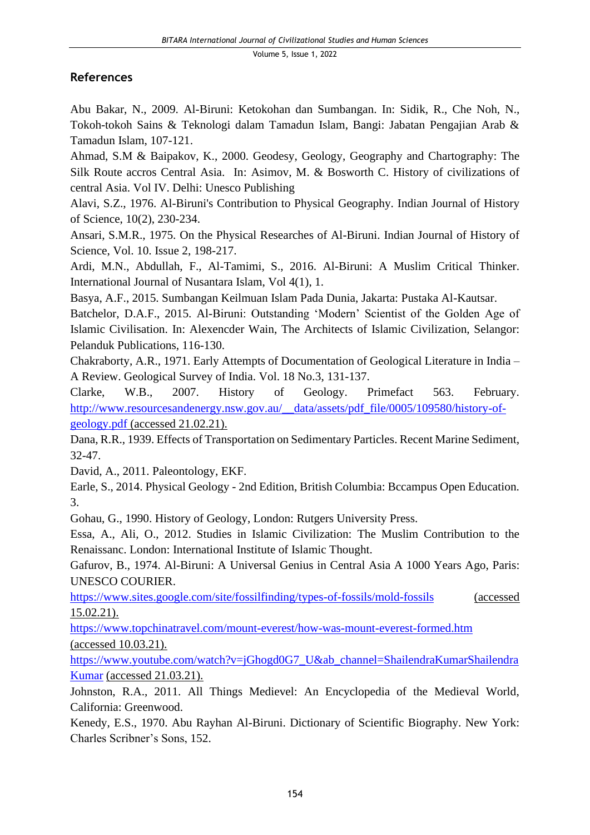#### **References**

Abu Bakar, N., 2009. Al-Biruni: Ketokohan dan Sumbangan. In: Sidik, R., Che Noh, N., Tokoh-tokoh Sains & Teknologi dalam Tamadun Islam, Bangi: Jabatan Pengajian Arab & Tamadun Islam, 107-121.

Ahmad, S.M & Baipakov, K., 2000. Geodesy, Geology, Geography and Chartography: The Silk Route accros Central Asia. In: Asimov, M. & Bosworth C. History of civilizations of central Asia. Vol IV. Delhi: Unesco Publishing

Alavi, S.Z., 1976. Al-Biruni's Contribution to Physical Geography. Indian Journal of History of Science, 10(2), 230-234.

Ansari, S.M.R., 1975. On the Physical Researches of Al-Biruni. Indian Journal of History of Science, Vol. 10. Issue 2, 198-217.

Ardi, M.N., Abdullah, F., Al-Tamimi, S., 2016. Al-Biruni: A Muslim Critical Thinker. International Journal of Nusantara Islam, Vol 4(1), 1.

Basya, A.F., 2015. Sumbangan Keilmuan Islam Pada Dunia, Jakarta: Pustaka Al-Kautsar.

Batchelor, D.A.F., 2015. Al-Biruni: Outstanding 'Modern' Scientist of the Golden Age of Islamic Civilisation. In: Alexencder Wain, The Architects of Islamic Civilization, Selangor: Pelanduk Publications, 116-130.

Chakraborty, A.R., 1971. Early Attempts of Documentation of Geological Literature in India – A Review. Geological Survey of India. Vol. 18 No.3, 131-137.

Clarke, W.B., 2007. History of Geology. Primefact 563. February. [http://www.resourcesandenergy.nsw.gov.au/\\_\\_data/assets/pdf\\_file/0005/109580/history-of](http://www.resourcesandenergy.nsw.gov.au/__data/assets/pdf_file/0005/109580/history-of-geology.pdf)[geology.pdf](http://www.resourcesandenergy.nsw.gov.au/__data/assets/pdf_file/0005/109580/history-of-geology.pdf) (accessed 21.02.21).

Dana, R.R., 1939. Effects of Transportation on Sedimentary Particles. Recent Marine Sediment, 32-47.

David, A., 2011. Paleontology, EKF.

Earle, S., 2014. Physical Geology - 2nd Edition, British Columbia: Bccampus Open Education. 3.

Gohau, G., 1990. History of Geology, London: Rutgers University Press.

Essa, A., Ali, O., 2012. Studies in Islamic Civilization: The Muslim Contribution to the Renaissanc. London: International Institute of Islamic Thought.

Gafurov, B., 1974. Al-Biruni: A Universal Genius in Central Asia A 1000 Years Ago, Paris: UNESCO COURIER.

<https://www.sites.google.com/site/fossilfinding/types-of-fossils/mold-fossils> (accessed 15.02.21).

<https://www.topchinatravel.com/mount-everest/how-was-mount-everest-formed.htm> (accessed 10.03.21).

[https://www.youtube.com/watch?v=jGhogd0G7\\_U&ab\\_channel=ShailendraKumarShailendra](https://www.youtube.com/watch?v=jGhogd0G7_U&ab_channel=ShailendraKumarShailendraKumar) [Kumar](https://www.youtube.com/watch?v=jGhogd0G7_U&ab_channel=ShailendraKumarShailendraKumar) (accessed 21.03.21).

Johnston, R.A., 2011. All Things Medievel: An Encyclopedia of the Medieval World, California: Greenwood.

Kenedy, E.S., 1970. Abu Rayhan Al-Biruni. Dictionary of Scientific Biography. New York: Charles Scribner's Sons, 152.